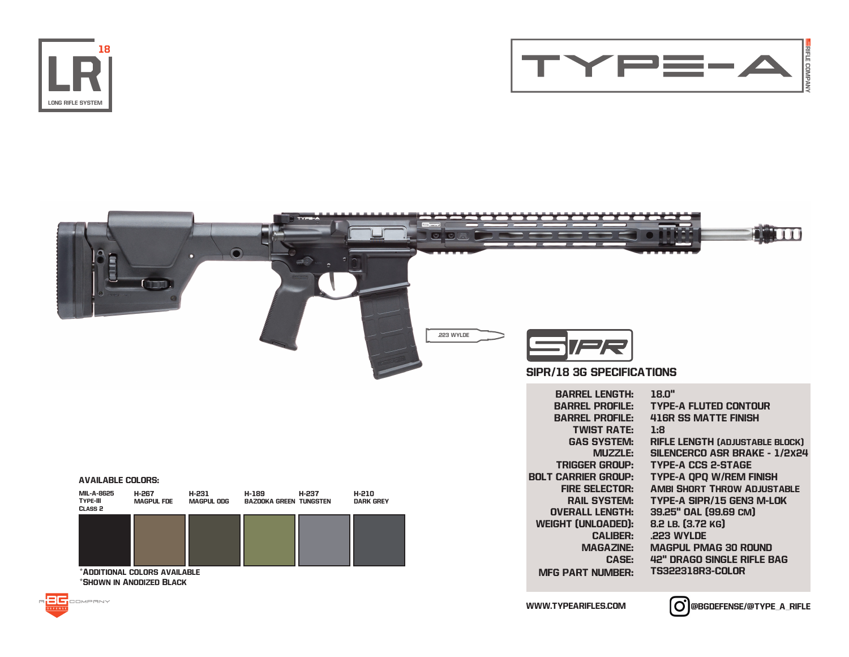





## AVAILABLE COLORS:

 $\overline{A}$ 

| <b>MIL-A-8625</b><br><b>TYPE-III</b><br>CLASS <sub>2</sub> | <b>H-267</b><br><b>MAGPUL FDE</b> | H-231<br>MAGPUL ODG | H-189<br><b>BAZOOKA GREEN TUNGSTEN</b> | H-237 | H-210<br><b>DARK GREY</b> |
|------------------------------------------------------------|-----------------------------------|---------------------|----------------------------------------|-------|---------------------------|
|                                                            |                                   |                     |                                        |       |                           |
|                                                            |                                   |                     |                                        |       |                           |
|                                                            |                                   |                     |                                        |       |                           |
| *ADDITIONAL COLORS AVAILABLE                               |                                   |                     |                                        |       |                           |
| *SHOWN IN ANODIZED BLACK                                   |                                   |                     |                                        |       |                           |

BARREL PROFILE: BARREL PROFILE: TWIST RATE: GAS SYSTEM: MUZZLE: TRIGGER GROUP: BOLT CARRIER GROUP: FIRE SELECTOR: Ambi Short Throw Adjustable RAIL SYSTEM: OVERALL LENGTH: WEIGHT (UNLOADED): CALIBER: MAGAZINE: CASE: MFG PART NUMBER: TYPE-A FLUTED CONTOUR 416R SS MATTE FINISH 1:8 RIFLE LENGTH (ADJUSTABLE BLOCK) SILENCERCO ASR BRAKE - 1/2x24 TYPE-A CCS 2-STAGE TYPE-A QPQ W/REM FINISH TYPE-A SIPR/15 GEN3 M-LOK 39.25" OAL (99.69 cm) 8.2 LB. (3.72 KG) .223 WYLDE MAGPUL PMAG 30 ROUND 42" DRAGO SINGLE RIFLE BAG TS322318R3-COLOR